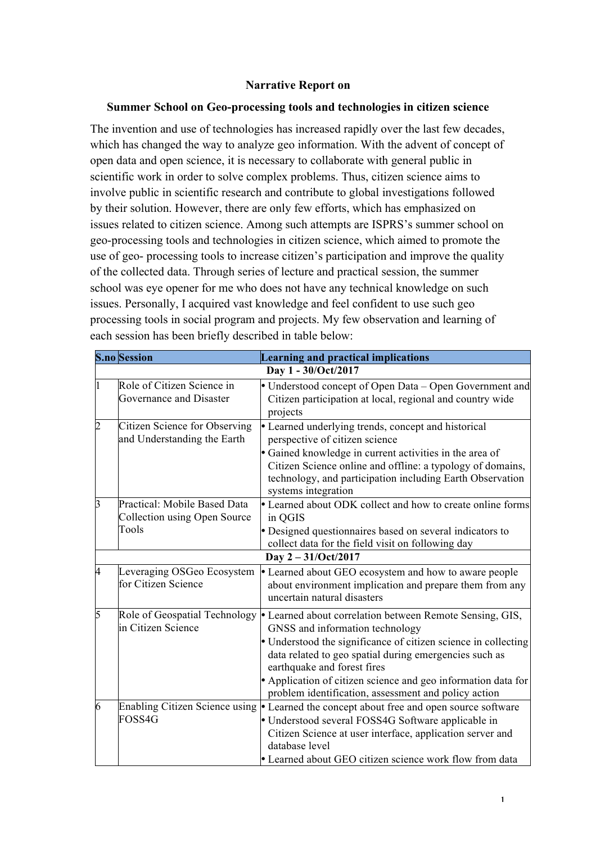## **Narrative Report on**

#### **Summer School on Geo-processing tools and technologies in citizen science**

The invention and use of technologies has increased rapidly over the last few decades, which has changed the way to analyze geo information. With the advent of concept of open data and open science, it is necessary to collaborate with general public in scientific work in order to solve complex problems. Thus, citizen science aims to involve public in scientific research and contribute to global investigations followed by their solution. However, there are only few efforts, which has emphasized on issues related to citizen science. Among such attempts are ISPRS's summer school on geo-processing tools and technologies in citizen science, which aimed to promote the use of geo- processing tools to increase citizen's participation and improve the quality of the collected data. Through series of lecture and practical session, the summer school was eye opener for me who does not have any technical knowledge on such issues. Personally, I acquired vast knowledge and feel confident to use such geo processing tools in social program and projects. My few observation and learning of each session has been briefly described in table below:

|                | <b>S.no</b> Session                                                   | <b>Learning and practical implications</b>                                                                                                                                                                                                                                                                                                                                                                    |  |  |  |  |  |
|----------------|-----------------------------------------------------------------------|---------------------------------------------------------------------------------------------------------------------------------------------------------------------------------------------------------------------------------------------------------------------------------------------------------------------------------------------------------------------------------------------------------------|--|--|--|--|--|
|                | Day 1 - 30/Oct/2017                                                   |                                                                                                                                                                                                                                                                                                                                                                                                               |  |  |  |  |  |
|                | Role of Citizen Science in<br>Governance and Disaster                 | • Understood concept of Open Data – Open Government and<br>Citizen participation at local, regional and country wide<br>projects                                                                                                                                                                                                                                                                              |  |  |  |  |  |
| $\overline{2}$ | Citizen Science for Observing<br>and Understanding the Earth          | • Learned underlying trends, concept and historical<br>perspective of citizen science<br>• Gained knowledge in current activities in the area of<br>Citizen Science online and offline: a typology of domains,<br>technology, and participation including Earth Observation<br>systems integration                                                                                                            |  |  |  |  |  |
| $\overline{3}$ | Practical: Mobile Based Data<br>Collection using Open Source<br>Tools | • Learned about ODK collect and how to create online forms<br>in QGIS<br>• Designed questionnaires based on several indicators to<br>collect data for the field visit on following day<br>Day 2-31/Oct/2017                                                                                                                                                                                                   |  |  |  |  |  |
| $\overline{4}$ | Leveraging OSGeo Ecosystem<br>for Citizen Science                     | • Learned about GEO ecosystem and how to aware people<br>about environment implication and prepare them from any<br>uncertain natural disasters                                                                                                                                                                                                                                                               |  |  |  |  |  |
| 5              | in Citizen Science                                                    | Role of Geospatial Technology   Learned about correlation between Remote Sensing, GIS,<br>GNSS and information technology<br>• Understood the significance of citizen science in collecting<br>data related to geo spatial during emergencies such as<br>earthquake and forest fires<br>• Application of citizen science and geo information data for<br>problem identification, assessment and policy action |  |  |  |  |  |
| 6              | FOSS4G                                                                | Enabling Citizen Science using   Learned the concept about free and open source software<br>• Understood several FOSS4G Software applicable in<br>Citizen Science at user interface, application server and<br>database level<br>• Learned about GEO citizen science work flow from data                                                                                                                      |  |  |  |  |  |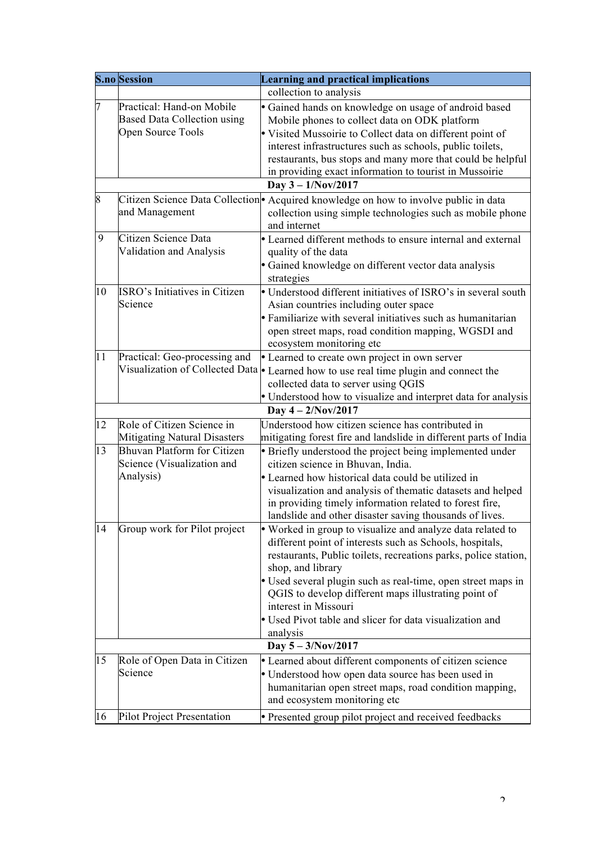|    | <b>S.no Session</b>                                                                                           | <b>Learning and practical implications</b>                                                                                                                                                                                                                                                                                                                                                                                                                     |  |  |  |  |  |  |
|----|---------------------------------------------------------------------------------------------------------------|----------------------------------------------------------------------------------------------------------------------------------------------------------------------------------------------------------------------------------------------------------------------------------------------------------------------------------------------------------------------------------------------------------------------------------------------------------------|--|--|--|--|--|--|
|    |                                                                                                               | collection to analysis                                                                                                                                                                                                                                                                                                                                                                                                                                         |  |  |  |  |  |  |
| 7  | Practical: Hand-on Mobile<br><b>Based Data Collection using</b><br>Open Source Tools                          | · Gained hands on knowledge on usage of android based<br>Mobile phones to collect data on ODK platform<br>• Visited Mussoirie to Collect data on different point of<br>interest infrastructures such as schools, public toilets,<br>restaurants, bus stops and many more that could be helpful<br>in providing exact information to tourist in Mussoirie                                                                                                       |  |  |  |  |  |  |
| 8  | Day $3 - 1/Nov/2017$<br>Citizen Science Data Collection • Acquired knowledge on how to involve public in data |                                                                                                                                                                                                                                                                                                                                                                                                                                                                |  |  |  |  |  |  |
|    | and Management                                                                                                | collection using simple technologies such as mobile phone<br>and internet                                                                                                                                                                                                                                                                                                                                                                                      |  |  |  |  |  |  |
| 9  | Citizen Science Data<br>Validation and Analysis                                                               | • Learned different methods to ensure internal and external<br>quality of the data<br>· Gained knowledge on different vector data analysis<br>strategies                                                                                                                                                                                                                                                                                                       |  |  |  |  |  |  |
| 10 | ISRO's Initiatives in Citizen<br>Science                                                                      | • Understood different initiatives of ISRO's in several south<br>Asian countries including outer space<br>• Familiarize with several initiatives such as humanitarian<br>open street maps, road condition mapping, WGSDI and<br>ecosystem monitoring etc                                                                                                                                                                                                       |  |  |  |  |  |  |
| 11 | Practical: Geo-processing and                                                                                 | • Learned to create own project in own server<br>Visualization of Collected Data • Learned how to use real time plugin and connect the<br>collected data to server using QGIS<br>• Understood how to visualize and interpret data for analysis                                                                                                                                                                                                                 |  |  |  |  |  |  |
|    | Day $4 - 2/Nov/2017$                                                                                          |                                                                                                                                                                                                                                                                                                                                                                                                                                                                |  |  |  |  |  |  |
| 12 | Role of Citizen Science in<br>Mitigating Natural Disasters                                                    | Understood how citizen science has contributed in<br>mitigating forest fire and landslide in different parts of India                                                                                                                                                                                                                                                                                                                                          |  |  |  |  |  |  |
| 13 | <b>Bhuvan Platform for Citizen</b><br>Science (Visualization and<br>Analysis)                                 | • Briefly understood the project being implemented under<br>citizen science in Bhuvan, India.<br>• Learned how historical data could be utilized in<br>visualization and analysis of thematic datasets and helped<br>in providing timely information related to forest fire,<br>landslide and other disaster saving thousands of lives.                                                                                                                        |  |  |  |  |  |  |
| 14 | Group work for Pilot project                                                                                  | • Worked in group to visualize and analyze data related to<br>different point of interests such as Schools, hospitals,<br>restaurants, Public toilets, recreations parks, police station,<br>shop, and library<br>• Used several plugin such as real-time, open street maps in<br>QGIS to develop different maps illustrating point of<br>interest in Missouri<br>• Used Pivot table and slicer for data visualization and<br>analysis<br>Day $5 - 3/Nov/2017$ |  |  |  |  |  |  |
| 15 | Role of Open Data in Citizen                                                                                  |                                                                                                                                                                                                                                                                                                                                                                                                                                                                |  |  |  |  |  |  |
|    | Science                                                                                                       | • Learned about different components of citizen science<br>• Understood how open data source has been used in<br>humanitarian open street maps, road condition mapping,<br>and ecosystem monitoring etc                                                                                                                                                                                                                                                        |  |  |  |  |  |  |
| 16 | Pilot Project Presentation                                                                                    | · Presented group pilot project and received feedbacks                                                                                                                                                                                                                                                                                                                                                                                                         |  |  |  |  |  |  |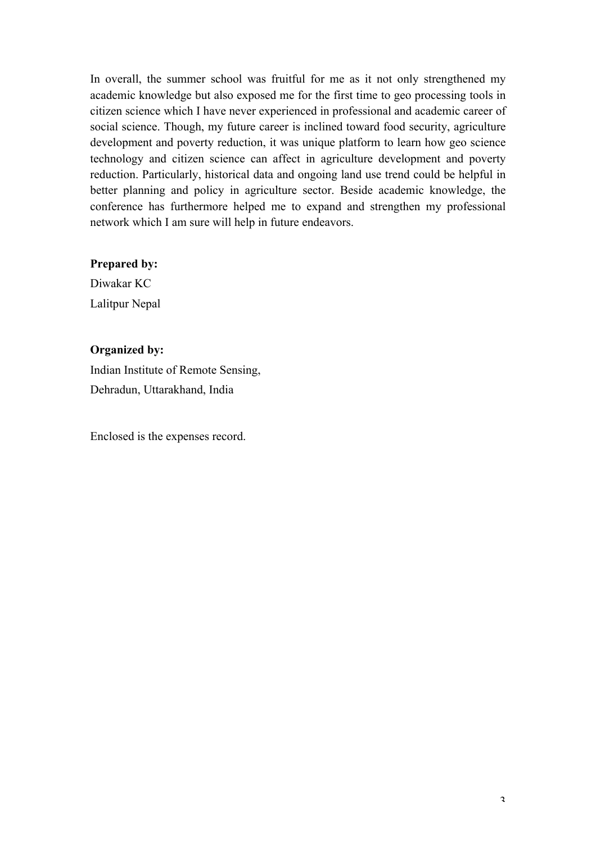In overall, the summer school was fruitful for me as it not only strengthened my academic knowledge but also exposed me for the first time to geo processing tools in citizen science which I have never experienced in professional and academic career of social science. Though, my future career is inclined toward food security, agriculture development and poverty reduction, it was unique platform to learn how geo science technology and citizen science can affect in agriculture development and poverty reduction. Particularly, historical data and ongoing land use trend could be helpful in better planning and policy in agriculture sector. Beside academic knowledge, the conference has furthermore helped me to expand and strengthen my professional network which I am sure will help in future endeavors.

## **Prepared by:**

Diwakar KC Lalitpur Nepal

## **Organized by:**

Indian Institute of Remote Sensing, Dehradun, Uttarakhand, India

Enclosed is the expenses record.